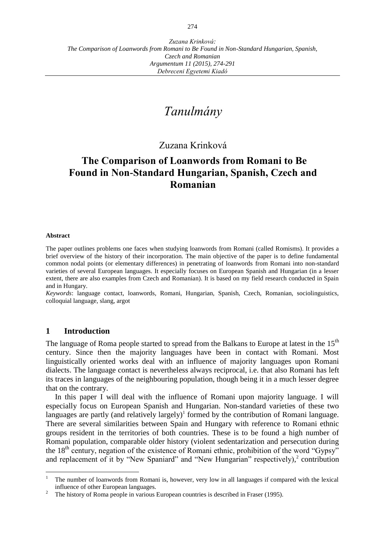*Zuzana Krinková: The Comparison of Loanwords from Romani to Be Found in Non-Standard Hungarian, Spanish, Czech and Romanian Argumentum 11 (2015), 274-291 Debreceni Egyetemi Kiadó*

# *Tanulmány*

## Zuzana Krinková

# **The Comparison of Loanwords from Romani to Be Found in Non-Standard Hungarian, Spanish, Czech and Romanian**

#### **Abstract**

The paper outlines problems one faces when studying loanwords from Romani (called Romisms). It provides a brief overview of the history of their incorporation. The main objective of the paper is to define fundamental common nodal points (or elementary differences) in penetrating of loanwords from Romani into non-standard varieties of several European languages. It especially focuses on European Spanish and Hungarian (in a lesser extent, there are also examples from Czech and Romanian). It is based on my field research conducted in Spain and in Hungary.

*Keywords*: language contact, loanwords, Romani, Hungarian, Spanish, Czech, Romanian, sociolinguistics, colloquial language, slang, argot

## **1 Introduction**

The language of Roma people started to spread from the Balkans to Europe at latest in the  $15<sup>th</sup>$ century. Since then the majority languages have been in contact with Romani. Most linguistically oriented works deal with an influence of majority languages upon Romani dialects. The language contact is nevertheless always reciprocal, i.e. that also Romani has left its traces in languages of the neighbouring population, though being it in a much lesser degree that on the contrary.

In this paper I will deal with the influence of Romani upon majority language. I will especially focus on European Spanish and Hungarian. Non-standard varieties of these two languages are partly (and relatively largely)<sup>1</sup> formed by the contribution of Romani language. There are several similarities between Spain and Hungary with reference to Romani ethnic groups resident in the territories of both countries. These is to be found a high number of Romani population, comparable older history (violent sedentarization and persecution during the 18<sup>th</sup> century, negation of the existence of Romani ethnic, prohibition of the word "Gypsy" and replacement of it by "New Spaniard" and "New Hungarian" respectively), 2 contribution

 $\mathbf{1}$ <sup>1</sup> The number of loanwords from Romani is, however, very low in all languages if compared with the lexical influence of other European languages.

<sup>2</sup> The history of Roma people in various European countries is described in Fraser (1995).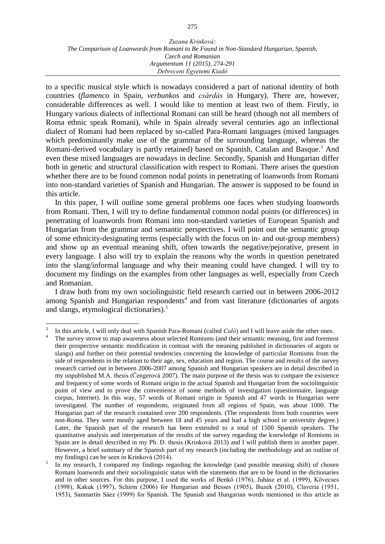to a specific musical style which is nowadays considered a part of national identity of both countries (*flamenco* in Spain, *verbunkos* and *csárdás* in Hungary). There are, however, considerable differences as well. I would like to mention at least two of them. Firstly, in Hungary various dialects of inflectional Romani can still be heard (though not all members of Roma ethnic speak Romani), while in Spain already several centuries ago an inflectional dialect of Romani had been replaced by so-called Para-Romani languages (mixed languages which predominantly make use of the grammar of the surrounding language, whereas the Romani-derived vocabulary is partly retained) based on Spanish, Catalan and Basque.<sup>3</sup> And even these mixed languages are nowadays in decline. Secondly, Spanish and Hungarian differ both in genetic and structural classification with respect to Romani. There arises the question whether there are to be found common nodal points in penetrating of loanwords from Romani into non-standard varieties of Spanish and Hungarian. The answer is supposed to be found in this article.

In this paper, I will outline some general problems one faces when studying loanwords from Romani. Then, I will try to define fundamental common nodal points (or differences) in penetrating of loanwords from Romani into non-standard varieties of European Spanish and Hungarian from the grammar and semantic perspectives. I will point out the semantic group of some ethnicity-designating terms (especially with the focus on in- and out-group members) and show up an eventual meaning shift, often towards the negative/pejorative, present in every language. I also will try to explain the reasons why the words in question penetrated into the slang/informal language and why their meaning could have changed. I will try to document my findings on the examples from other languages as well, especially from Czech and Romanian.

I draw both from my own sociolinguistic field research carried out in between 2006-2012 among Spanish and Hungarian respondents<sup>4</sup> and from vast literature (dictionaries of argots and slangs, etymological dictionaries). 5

<sup>3</sup> In this article, I will only deal with Spanish Para-Romani (called *Caló*) and I will leave aside the other ones.

The survey strove to map awareness about selected Romisms (and their semantic meaning, first and foremost their prospective semantic modification in contrast with the meaning published in dictionaries of argots or slangs) and further on their potential tendencies concerning the knowledge of particular Romisms from the side of respondents in the relation to their age, sex, education and region. The course and results of the survey research carried out in between 2006-2007 among Spanish and Hungarian speakers are in detail described in my unpublished M.A. thesis (Čengerová 2007). The main purpose of the thesis was to compare the existence and frequency of some words of Romani origin in the actual Spanish and Hungarian from the sociolinguistic point of view and to prove the convenience of some methods of investigation (questionnaire, language corpus, Internet). In this way, 57 words of Romani origin in Spanish and 47 words in Hungarian were investigated. The number of respondents, originated from all regions of Spain, was about 1000. The Hungarian part of the research contained over 200 respondents. (The respondents from both countries were non-Roma. They were mostly aged between 18 and 45 years and had a high school or university degree.) Later, the Spanish part of the research has been extended to a total of 1500 Spanish speakers. The quantitative analysis and interpretation of the results of the survey regarding the knowledge of Romisms in Spain are in detail described in my Ph. D. thesis (Krinková 2013) and I will publish them in another paper. However, a brief summary of the Spanish part of my research (including the methodology and an outline of my findings) can be seen in Krinková (2014).

<sup>5</sup> In my research, I compared my findings regarding the knowledge (and possible meaning shift) of chosen Romani loanwords and their sociolinguistic status with the statements that are to be found in the dictionaries and in other sources. For this purpose, I used the works of Benkő (1976), Juhász et al. (1999), Kövecses (1998), Kakuk (1997), Schirm (2006) for Hungarian and Besses (1905), Buzek (2010), Clavería (1951, 1953), Sanmartín Sáez (1999) for Spanish. The Spanish and Hungarian words mentioned in this article as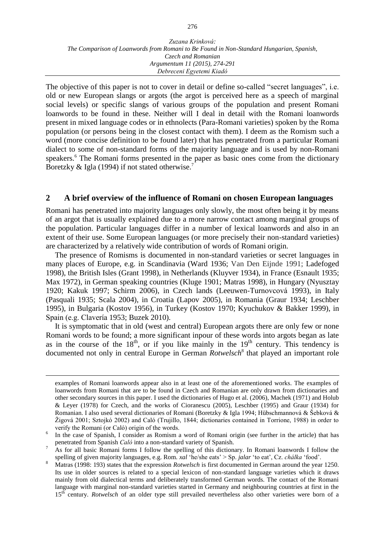The objective of this paper is not to cover in detail or define so-called "secret languages", i.e. old or new European slangs or argots (the argot is perceived here as a speech of marginal social levels) or specific slangs of various groups of the population and present Romani loanwords to be found in these. Neither will I deal in detail with the Romani loanwords present in mixed language codes or in ethnolects (Para-Romani varieties) spoken by the Roma population (or persons being in the closest contact with them). I deem as the Romism such a word (more concise definition to be found later) that has penetrated from a particular Romani dialect to some of non-standard forms of the majority language and is used by non-Romani speakers. <sup>6</sup> The Romani forms presented in the paper as basic ones come from the dictionary Boretzky & Igla (1994) if not stated otherwise.<sup>7</sup>

## **2 A brief overview of the influence of Romani on chosen European languages**

Romani has penetrated into majority languages only slowly, the most often being it by means of an argot that is usually explained due to a more narrow contact among marginal groups of the population. Particular languages differ in a number of lexical loanwords and also in an extent of their use. Some European languages (or more precisely their non-standard varieties) are characterized by a relatively wide contribution of words of Romani origin.

The presence of Romisms is documented in non-standard varieties or secret languages in many places of Europe, e.g. in Scandinavia (Ward 1936; Van Den Eijnde 1991; Ladefoged 1998), the British Isles (Grant 1998), in Netherlands (Kluyver 1934), in France (Esnault 1935; Max 1972), in German speaking countries (Kluge 1901; Matras 1998), in Hungary (Nyusztay 1920; Kakuk 1997; Schirm 2006), in Czech lands (Leeuwen-Turnovcová 1993), in Italy (Pasquali 1935; Scala 2004), in Croatia (Lapov 2005), in Romania (Graur 1934; Leschber 1995), in Bulgaria (Kostov 1956), in Turkey (Kostov 1970; Kyuchukov & Bakker 1999), in Spain (e.g. Clavería 1953; Buzek 2010).

It is symptomatic that in old (west and central) European argots there are only few or none Romani words to be found; a more significant inpour of these words into argots began as late as in the course of the  $18<sup>th</sup>$ , or if you like mainly in the  $19<sup>th</sup>$  century. This tendency is documented not only in central Europe in German *Rotwelsch*<sup>8</sup> that played an important role

examples of Romani loanwords appear also in at least one of the aforementioned works. The examples of loanwords from Romani that are to be found in Czech and Romanian are only drawn from dictionaries and other secondary sources in this paper. I used the dictionaries of Hugo et al. (2006), Machek (1971) and Holub & Leyer (1978) for Czech, and the works of Cioranescu (2005), Leschber (1995) and Graur (1934) for Romanian. I also used several dictionaries of Romani (Boretzky & Igla 1994; Hübschmannová & Šebková & Žigová 2001; Sztojkó 2002) and Caló (Trujillo, 1844; dictionaries contained in Torrione, 1988) in order to verify the Romani (or Caló) origin of the words.

<sup>6</sup> In the case of Spanish, I consider as Romism a word of Romani origin (see further in the article) that has penetrated from Spanish *Caló* into a non-standard variety of Spanish.

<sup>7</sup> As for all basic Romani forms I follow the spelling of this dictionary. In Romani loanwords I follow the spelling of given majority languages, e.g. Rom. *xal* 'he/she eats' > Sp. *jalar* 'to eat', Cz. *chálka* 'food'.

<sup>8</sup> Matras (1998: 193) states that the expression *Rotwelsch* is first documented in German around the year 1250. Its use in older sources is related to a special lexicon of non-standard language varieties which it draws mainly from old dialectical terms and deliberately transformed German words. The contact of the Romani language with marginal non-standard varieties started in Germany and neighbouring countries at first in the 15th century. *Rotwelsch* of an older type still prevailed nevertheless also other varieties were born of a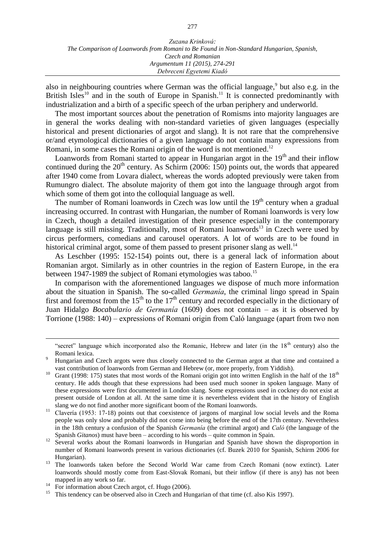also in neighbouring countries where German was the official language,<sup>9</sup> but also e.g. in the British Isles<sup>10</sup> and in the south of Europe in Spanish.<sup>11</sup> It is connected predominantly with industrialization and a birth of a specific speech of the urban periphery and underworld.

The most important sources about the penetration of Romisms into majority languages are in general the works dealing with non-standard varieties of given languages (especially historical and present dictionaries of argot and slang). It is not rare that the comprehensive or/and etymological dictionaries of a given language do not contain many expressions from Romani, in some cases the Romani origin of the word is not mentioned.<sup>12</sup>

Loanwords from Romani started to appear in Hungarian argot in the  $19<sup>th</sup>$  and their inflow continued during the  $20<sup>th</sup>$  century. As Schirm (2006: 150) points out, the words that appeared after 1940 come from Lovara dialect, whereas the words adopted previously were taken from Rumungro dialect. The absolute majority of them got into the language through argot from which some of them got into the colloquial language as well.

The number of Romani loanwords in Czech was low until the  $19<sup>th</sup>$  century when a gradual increasing occurred. In contrast with Hungarian, the number of Romani loanwords is very low in Czech, though a detailed investigation of their presence especially in the contemporary language is still missing. Traditionally, most of Romani loanwords<sup>13</sup> in Czech were used by circus performers, comedians and carousel operators. A lot of words are to be found in historical criminal argot, some of them passed to present prisoner slang as well.<sup>14</sup>

As Leschber (1995: 152-154) points out, there is a general lack of information about Romanian argot. Similarly as in other countries in the region of Eastern Europe, in the era between 1947-1989 the subject of Romani etymologies was taboo.<sup>15</sup>

In comparison with the aforementioned languages we dispose of much more information about the situation in Spanish. The so-called *Germanía*, the criminal lingo spread in Spain first and foremost from the  $15<sup>th</sup>$  to the  $17<sup>th</sup>$  century and recorded especially in the dictionary of Juan Hidalgo *Bocabulario de Germanía* (1609) does not contain – as it is observed by Torrione (1988: 140) – expressions of Romani origin from Caló language (apart from two non

<sup>&</sup>quot;secret" language which incorporated also the Romanic, Hebrew and later (in the  $18<sup>th</sup>$  century) also the Romani lexica.

<sup>9</sup> Hungarian and Czech argots were thus closely connected to the German argot at that time and contained a vast contribution of loanwords from German and Hebrew (or, more properly, from Yiddish).

Grant (1998: 175) states that most words of the Romani origin got into written English in the half of the  $18<sup>th</sup>$ century. He adds though that these expressions had been used much sooner in spoken language. Many of these expressions were first documented in London slang. Some expressions used in cockney do not exist at present outside of London at all. At the same time it is nevertheless evident that in the history of English slang we do not find another more significant boom of the Romani loanwords.

<sup>&</sup>lt;sup>11</sup> Clavería (1953: 17-18) points out that coexistence of jargons of marginal low social levels and the Roma people was only slow and probably did not come into being before the end of the 17th century. Nevertheless in the 18th century a confusion of the Spanish *Germanía* (the criminal argot) and *Caló* (the language of the Spanish *Gitanos*) must have been – according to his words – quite common in Spain.

<sup>12</sup> Several works about the Romani loanwords in Hungarian and Spanish have shown the disproportion in number of Romani loanwords present in various dictionaries (cf. Buzek 2010 for Spanish, Schirm 2006 for Hungarian).

<sup>&</sup>lt;sup>13</sup> The loanwords taken before the Second World War came from Czech Romani (now extinct). Later loanwords should mostly come from East-Slovak Romani, but their inflow (if there is any) has not been mapped in any work so far.

<sup>&</sup>lt;sup>14</sup> For information about Czech argot, cf. Hugo (2006).<br><sup>15</sup> This tendency can be observed also in Czech and Hu

<sup>15</sup> This tendency can be observed also in Czech and Hungarian of that time (cf. also Kis 1997).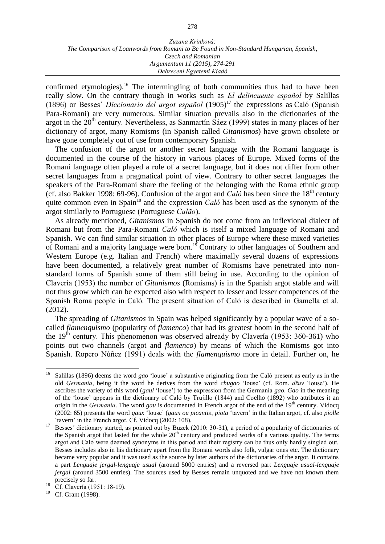confirmed etymologies).<sup>16</sup> The intermingling of both communities thus had to have been really slow. On the contrary though in works such as *El delincuente español* by Salillas (1896) or Besses´ *Diccionario del argot español* (1905)<sup>17</sup> the expressions as Caló (Spanish Para-Romani) are very numerous. Similar situation prevails also in the dictionaries of the argot in the  $20<sup>th</sup>$  century. Nevertheless, as Sanmartín Sáez (1999) states in many places of her dictionary of argot, many Romisms (in Spanish called *Gitanismos*) have grown obsolete or have gone completely out of use from contemporary Spanish.

The confusion of the argot or another secret language with the Romani language is documented in the course of the history in various places of Europe. Mixed forms of the Romani language often played a role of a secret language, but it does not differ from other secret languages from a pragmatical point of view. Contrary to other secret languages the speakers of the Para-Romani share the feeling of the belonging with the Roma ethnic group (cf. also Bakker 1998: 69-96). Confusion of the argot and *Caló* has been since the  $18<sup>th</sup>$  century quite common even in Spain<sup>18</sup> and the expression *Caló* has been used as the synonym of the argot similarly to Portuguese (Portuguese *Calão*).

As already mentioned, *Gitanismos* in Spanish do not come from an inflexional dialect of Romani but from the Para-Romani *Caló* which is itself a mixed language of Romani and Spanish. We can find similar situation in other places of Europe where these mixed varieties of Romani and a majority language were born.<sup>19</sup> Contrary to other languages of Southern and Western Europe (e.g. Italian and French) where maximally several dozens of expressions have been documented, a relatively great number of Romisms have penetrated into nonstandard forms of Spanish some of them still being in use. According to the opinion of Clavería (1953) the number of *Gitanismos* (Romisms) is in the Spanish argot stable and will not thus grow which can be expected also with respect to lesser and lesser competences of the Spanish Roma people in Caló. The present situation of Caló is described in Gamella et al. (2012).

The spreading of *Gitanismos* in Spain was helped significantly by a popular wave of a socalled *flamenquismo* (popularity of *flamenco*) that had its greatest boom in the second half of the  $19<sup>th</sup>$  century. This phenomenon was observed already by Clavería (1953: 360-361) who points out two channels (argot and *flamenco*) by means of which the Romisms got into Spanish. Ropero Núñez (1991) deals with the *flamenquismo* more in detail. Further on, he

<sup>16</sup> Salillas (1896) deems the word *gao* 'louse' a substantive originating from the Caló present as early as in the old *Germanía*, being it the word he derives from the word *chugao* 'louse' (cf. Rom. *džuv* 'louse'). He ascribes the variety of this word (*gaul* 'louse') to the expression from the Germanía *gao*. *Gao* in the meaning of the 'louse' appears in the dictionary of Caló by Trujillo (1844) and Coelho (1892) who attributes it an origin in the *Germanía*. The word *gau* is documented in French argot of the end of the 19<sup>th</sup> century. Vidocq (2002: 65) presents the word *gaux* 'louse' (*gaux ou picantis*' *piota* 'tavern' in the Italian argot, cf. also *piolle* 'tavern' in the French argot. Cf. Vidocq (2002: 108).

<sup>&</sup>lt;sup>17</sup> Besses' dictionary started, as pointed out by Buzek (2010: 30-31), a period of a popularity of dictionaries of the Spanish argot that lasted for the whole  $20<sup>th</sup>$  century and produced works of a various quality. The terms argot and Caló were deemed synonyms in this period and their registry can be thus only hardly singled out. Besses includes also in his dictionary apart from the Romani words also folk, vulgar ones etc. The dictionary became very popular and it was used as the source by later authors of the dictionaries of the argot. It contains a part *Lenguaje jergal-lenguaje usual* (around 5000 entries) and a reversed part *Lenguaje usual-lenguaje jergal* (around 3500 entries). The sources used by Besses remain unquoted and we have not known them precisely so far.

<sup>18</sup> Cf. Clavería (1951: 18-19).

<sup>&</sup>lt;sup>19</sup> Cf. Grant (1998).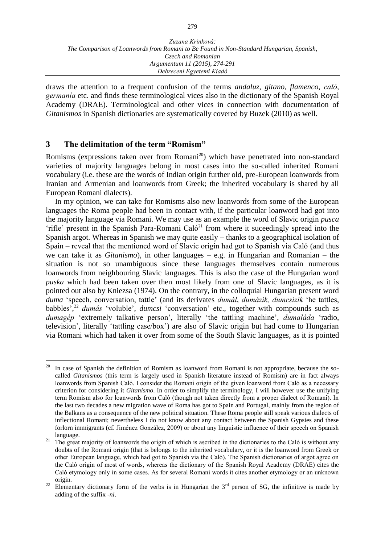draws the attention to a frequent confusion of the terms *andaluz*, *gitano*, *flamenco*, *caló*, *germanía* etc. and finds these terminological vices also in the dictionary of the Spanish Royal Academy (DRAE). Terminological and other vices in connection with documentation of *Gitanismos* in Spanish dictionaries are systematically covered by Buzek (2010) as well.

## **3 The delimitation of the term "Romism"**

Romisms (expressions taken over from Romani<sup>20</sup>) which have penetrated into non-standard varieties of majority languages belong in most cases into the so-called inherited Romani vocabulary (i.e. these are the words of Indian origin further old, pre-European loanwords from Iranian and Armenian and loanwords from Greek; the inherited vocabulary is shared by all European Romani dialects).

In my opinion, we can take for Romisms also new loanwords from some of the European languages the Roma people had been in contact with, if the particular loanword had got into the majority language via Romani. We may use as an example the word of Slavic origin *pusca* 'rifle' present in the Spanish Para-Romani Caló<sup>21</sup> from where it suceedingly spread into the Spanish argot. Whereas in Spanish we may quite easily – thanks to a geographical isolation of Spain – reveal that the mentioned word of Slavic origin had got to Spanish via Caló (and thus we can take it as *Gitanismo*), in other languages – e.g. in Hungarian and Romanian – the situation is not so unambiguous since these languages themselves contain numerous loanwords from neighbouring Slavic languages. This is also the case of the Hungarian word *puska* which had been taken over then most likely from one of Slavic languages, as it is pointed out also by Kniezsa (1974). On the contrary, in the colloquial Hungarian present word *duma* 'speech, conversation, tattle' (and its derivates *dumál*, *dumázik, dumcsizik* 'he tattles, babbles', <sup>22</sup> *dumás* 'voluble', *dumcsi* 'conversation' etc., together with compounds such as *dumagép* 'extremely talkative person', literally 'the tattling machine', *dumaláda* 'radio, television', literally 'tattling case/box') are also of Slavic origin but had come to Hungarian via Romani which had taken it over from some of the South Slavic languages, as it is pointed

<sup>20</sup> In case of Spanish the definition of Romism as loanword from Romani is not appropriate, because the socalled *Gitanismos* (this term is largely used in Spanish literature instead of Romism) are in fact always loanwords from Spanish Caló. I consider the Romani origin of the given loanword from Caló as a necessary criterion for considering it *Gitanismo*. In order to simplify the terminology, I will however use the unifying term Romism also for loanwords from Caló (though not taken directly from a proper dialect of Romani). In the last two decades a new migration wave of Roma has got to Spain and Portugal, mainly from the region of the Balkans as a consequence of the new political situation. These Roma people still speak various dialects of inflectional Romani; nevertheless I do not know about any contact between the Spanish Gypsies and these forlorn immigrants (cf. Jiménez González, 2009) or about any linguistic influence of their speech on Spanish language.

<sup>&</sup>lt;sup>21</sup> The great majority of loanwords the origin of which is ascribed in the dictionaries to the Caló is without any doubts of the Romani origin (that is belongs to the inherited vocabulary, or it is the loanword from Greek or other European language, which had got to Spanish via the Caló). The Spanish dictionaries of argot agree on the Caló origin of most of words, whereas the dictionary of the Spanish Royal Academy (DRAE) cites the Caló etymology only in some cases. As for several Romani words it cites another etymology or an unknown origin.

<sup>&</sup>lt;sup>22</sup> Elementary dictionary form of the verbs is in Hungarian the  $3<sup>rd</sup>$  person of SG, the infinitive is made by adding of the suffix -*ni*.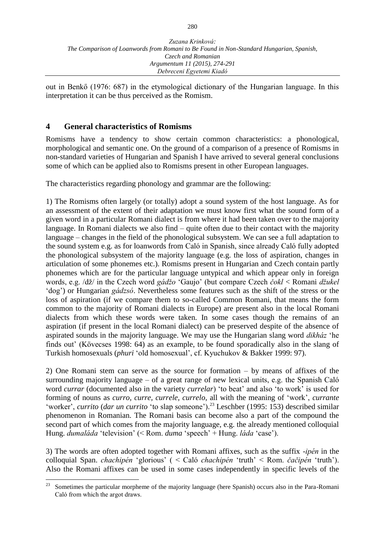out in Benkő (1976: 687) in the etymological dictionary of the Hungarian language. In this interpretation it can be thus perceived as the Romism.

## **4 General characteristics of Romisms**

Romisms have a tendency to show certain common characteristics: a phonological, morphological and semantic one. On the ground of a comparison of a presence of Romisms in non-standard varieties of Hungarian and Spanish I have arrived to several general conclusions some of which can be applied also to Romisms present in other European languages.

The characteristics regarding phonology and grammar are the following:

1) The Romisms often largely (or totally) adopt a sound system of the host language. As for an assessment of the extent of their adaptation we must know first what the sound form of a given word in a particular Romani dialect is from where it had been taken over to the majority language. In Romani dialects we also find – quite often due to their contact with the majority language – changes in the field of the phonological subsystem. We can see a full adaptation to the sound system e.g. as for loanwords from Caló in Spanish, since already Caló fully adopted the phonological subsystem of the majority language (e.g. the loss of aspiration, changes in articulation of some phonemes etc.). Romisms present in Hungarian and Czech contain partly phonemes which are for the particular language untypical and which appear only in foreign words, e.g. /dž/ in the Czech word *gádžo* 'Gaujo' (but compare Czech *čokl* < Romani *džukel*  'dog') or Hungarian *gádzsó*. Nevertheless some features such as the shift of the stress or the loss of aspiration (if we compare them to so-called Common Romani, that means the form common to the majority of Romani dialects in Europe) are present also in the local Romani dialects from which these words were taken. In some cases though the remains of an aspiration (if present in the local Romani dialect) can be preserved despite of the absence of aspirated sounds in the majority language. We may use the Hungarian slang word *dikház* 'he finds out' (Kövecses 1998: 64) as an example, to be found sporadically also in the slang of Turkish homosexuals (*phuri* 'old homosexual', cf. Kyuchukov & Bakker 1999: 97).

2) One Romani stem can serve as the source for formation – by means of affixes of the surrounding majority language – of a great range of new lexical units, e.g. the Spanish Caló word *currar* (documented also in the variety *currelar*) 'to beat' and also 'to work' is used for forming of nouns as *curro, curre, currele, currelo*, all with the meaning of 'work', *currante*  'worker', *currito* (*dar un currito* 'to slap someone'). <sup>23</sup> Leschber (1995: 153) described similar phenomenon in Romanian. The Romani basis can become also a part of the compound the second part of which comes from the majority language, e.g. the already mentioned colloquial Hung. *dumaláda* 'television' (< Rom. *duma* 'speech' + Hung. *láda* 'case').

3) The words are often adopted together with Romani affixes, such as the suffix -*ipén* in the colloquial Span. *chachipén* 'glorious' ( < Caló *chachipén* 'truth' < Rom. *čačipén* 'truth'). Also the Romani affixes can be used in some cases independently in specific levels of the

<sup>23</sup> Sometimes the particular morpheme of the majority language (here Spanish) occurs also in the Para-Romani Caló from which the argot draws.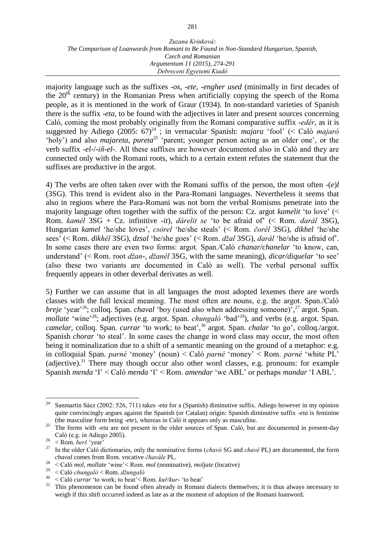#### *Zuzana Krinková: The Comparison of Loanwords from Romani to Be Found in Non-Standard Hungarian, Spanish, Czech and Romanian Argumentum 11 (2015), 274-291 Debreceni Egyetemi Kiadó*

majority language such as the suffixes -*os*, -*ete*, -*engher used* (minimally in first decades of the  $20<sup>th</sup>$  century) in the Romanian Press when artificially copying the speech of the Roma people, as it is mentioned in the work of Graur (1934). In non-standard varieties of Spanish there is the suffix -*eta,* to be found with the adjectives in later and present sources concerning Caló, coming the most probably originally from the Romani comparative suffix -*edér*, as it is suggested by Adiego (2005:  $67)^{24}$ ; in vernacular Spanish: *majara* 'fool' (< Caló *majaró* 'holy') and also *majareta*, *pureta*<sup>25</sup> 'parent; younger person acting as an older one', or the verb suffix -*el*-/-*iñ-el*-. All these suffixes are however documented also in Caló and they are connected only with the Romani roots, which to a certain extent refutes the statement that the suffixes are productive in the argot.

4) The verbs are often taken over with the Romani suffix of the person, the most often -(*e*)*l* (3SG). This trend is evident also in the Para-Romani languages. Nevertheless it seems that also in regions where the Para-Romani was not born the verbal Romisms penetrate into the majority language often together with the suffix of the person: Cz. argot *kamelit* 'to love' (< Rom. *kamél* 3SG + Cz. infinitive -*it*), *dárelit se* 'to be afraid of' (< Rom. *darál* 3SG), Hungarian *kamel* 'he/she loves', *csórel* 'he/she steals' (< Rom. *čorél* 3SG), *dikhel* 'he/she sees' (< Rom. *dikhél* 3SG), *dzsal* 'he/she goes' (< Rom. *džal* 3SG), *darál* 'he/she is afraid of'. In some cases there are even two forms: argot. Span./Caló *chanar/chanelar* 'to know, can, understand' (< Rom. root *džan*-, *džanél* 3SG, with the same meaning), *dicar/diquelar* 'to see' (also these two variants are documented in Caló as well). The verbal personal suffix frequently appears in other deverbal derivates as well.

5) Further we can assume that in all languages the most adopted lexemes there are words classes with the full lexical meaning. The most often are nouns, e.g. the argot. Span./Caló *breje* 'year'<sup>26</sup>; colloq. Span. *chaval* 'boy (used also when addressing someone)', <sup>27</sup> argot. Span. *mollate* 'wine'<sup>28</sup>; adjectives (e.g. argot. Span. *chungaló* 'bad'<sup>29</sup>), and verbs (e.g. argot. Span. *camelar,* colloq. Span. *currar* 'to work; to beat', <sup>30</sup> argot. Span. *chalar* 'to go', colloq./argot. Spanish *chorar* 'to steal'. In some cases the change in word class may occur, the most often being it nominalization due to a shift of a semantic meaning on the ground of a metaphor: e.g. in colloquial Span. *parné* 'money' (noun) < Caló *parné* 'money' < Rom. *parné* 'white PL' (adjective).<sup>31</sup> There may though occur also other word classes, e.g. pronouns: for example Spanish *menda* 'I' < Caló *menda* 'I' < Rom. *amendar* 'we ABL' or perhaps *mandar* 'I ABL'.

<sup>24</sup> <sup>24</sup> Sanmartín Sáez (2002: 526, 711) takes -*eta* for a (Spanish) diminutive suffix. Adiego however in my opinion quite convincingly argues against the Spanish (or Catalan) origin: Spanish diminutive suffix -*eta* is feminine (the masculine form being -*ete*), whereas in Caló it appears only as masculine.

<sup>&</sup>lt;sup>25</sup> The forms with *-eta* are not present in the older sources of Span. Caló, but are documented in present-day Caló (e.g. in Adiego 2005).

 $\frac{26}{27}$  < Rom. *berš* 'year'

<sup>27</sup> In the older Caló dictionaries, only the nominative forms (*chavó* SG and *chavé* PL) are documented, the form *chaval* comes from Rom. vocative *čhavále* PL.

<sup>28</sup> < Caló *mol*, *mollate* 'wine'< Rom. *mol* (nominative), *moljate* (locative)

<sup>29</sup> < Caló *chungaló* < Rom. *džungaló*

 $30 \leq \text{Caló *currar* 'to work; to beat'  $\leq \text{Rom. } kuf/kur$  'to beat'   
31 This phenomenon can be found often already in Boman$ 

This phenomenon can be found often already in Romani dialects themselves; it is thus always necessary to weigh if this shift occurred indeed as late as at the moment of adoption of the Romani loanword.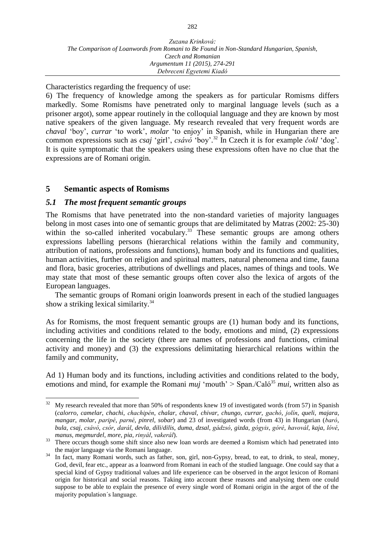Characteristics regarding the frequency of use:

6) The frequency of knowledge among the speakers as for particular Romisms differs markedly. Some Romisms have penetrated only to marginal language levels (such as a prisoner argot), some appear routinely in the colloquial language and they are known by most native speakers of the given language. My research revealed that very frequent words are *chaval* 'boy', *currar* 'to work', *molar* 'to enjoy' in Spanish, while in Hungarian there are common expressions such as *csaj* 'girl', *csávó* 'boy'. <sup>32</sup> In Czech it is for example *čokl* 'dog'. It is quite symptomatic that the speakers using these expressions often have no clue that the expressions are of Romani origin.

## **5 Semantic aspects of Romisms**

## *5.1 The most frequent semantic groups*

The Romisms that have penetrated into the non-standard varieties of majority languages belong in most cases into one of semantic groups that are delimitated by Matras (2002: 25-30) within the so-called inherited vocabulary.<sup>33</sup> These semantic groups are among others expressions labelling persons (hierarchical relations within the family and community, attribution of nations, professions and functions), human body and its functions and qualities, human activities, further on religion and spiritual matters, natural phenomena and time, fauna and flora, basic groceries, attributions of dwellings and places, names of things and tools. We may state that most of these semantic groups often cover also the lexica of argots of the European languages.

The semantic groups of Romani origin loanwords present in each of the studied languages show a striking lexical similarity.<sup>34</sup>

As for Romisms, the most frequent semantic groups are (1) human body and its functions, including activities and conditions related to the body, emotions and mind, (2) expressions concerning the life in the society (there are names of professions and functions, criminal activity and money) and (3) the expressions delimitating hierarchical relations within the family and community,

Ad 1) Human body and its functions, including activities and conditions related to the body, emotions and mind, for example the Romani *muj* 'mouth' > Span./Caló<sup>35</sup> *mui*, written also as

 $32\,$ My research revealed that more than 50% of respondents knew 19 of investigated words (from 57) in Spanish (*calorro*, *camelar*, *chachi*, *chachipén*, *chalar*, *chaval*, *chivar*, *chungo*, *currar*, *gachó*, *jolín*, *queli*, *majara*, *mangar*, *molar*, *paripé*, *parné*, *pinrel*, *sobar*) and 23 of investigated words (from 43) in Hungarian (*baró*, bula, csaj, csávó, csór, darál, devla, dili/dilis, duma, dzsal, gádzsó, gizda, gógyis, góré, havovál, kaja, lóvé, *manus*, *megmurdel*, *more*, *pia*, *rinyál*, *vakerál*).

<sup>&</sup>lt;sup>33</sup> There occurs though some shift since also new loan words are deemed a Romism which had penetrated into the major language via the Romani language.

<sup>&</sup>lt;sup>34</sup> In fact, many Romani words, such as father, son, girl, non-Gypsy, bread, to eat, to drink, to steal, money, God, devil, fear etc., appear as a loanword from Romani in each of the studied language. One could say that a special kind of Gypsy traditional values and life experience can be observed in the argot lexicon of Romani origin for historical and social reasons. Taking into account these reasons and analysing them one could suppose to be able to explain the presence of every single word of Romani origin in the argot of the of the majority population´s language.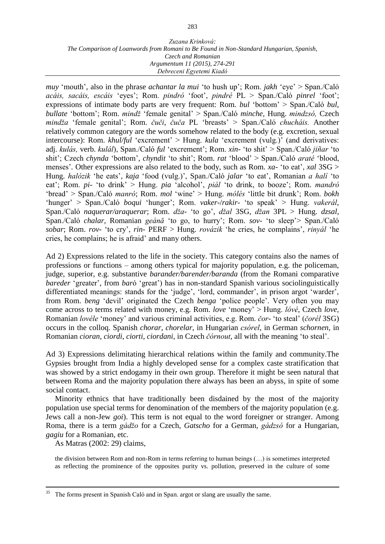#### *Zuzana Krinková: The Comparison of Loanwords from Romani to Be Found in Non-Standard Hungarian, Spanish, Czech and Romanian Argumentum 11 (2015), 274-291 Debreceni Egyetemi Kiadó*

*muy* 'mouth', also in the phrase *achantar la mui* 'to hush up'; Rom. *jakh* 'eye' > Span./Caló *acáis, sacáis, escáis* 'eyes'; Rom. *pindró* 'foot', *pindré* PL > Span./Caló *pinrel* 'foot'; expressions of intimate body parts are very frequent: Rom. *bul* 'bottom' > Span./Caló *bul*, *bullate* 'bottom'; Rom. *mindž* 'female genital' > Span./Caló *minche,* Hung. *mindzsó,* Czech *mindža* 'female genital'; Rom. *čuči*, *čuča* PL 'breasts' > Span./Caló *chucháis.* Another relatively common category are the words somehow related to the body (e.g. excretion, sexual intercourse): Rom. *khul/ful* 'excrement' > Hung. *kula* 'excrement (vulg.)' (and derivatives: adj. *kulás,* verb. *kulál*), Span./Caló *ful* 'excrement'; Rom. *xin*- 'to shit' > Span./Caló *jiñar* 'to shit'; Czech *chynda* 'bottom'*, chyndit* 'to shit'; Rom. *rat* 'blood' > Span./Caló *araté* 'blood, menses'*.* Other expressions are also related to the body, such as Rom. *xa*- 'to eat', *xal* 3SG > Hung. *halózik* 'he eats', *kaja* 'food (vulg.)', Span./Caló *jalar* 'to eat', Romanian *a halí* 'to eat'; Rom. *pi*- 'to drink' > Hung. *pia* 'alcohol', *piál* 'to drink, to booze'; Rom. *mandró*  'bread' > Span./Caló *manró*; Rom. *mol* 'wine' > Hung. *mólés* 'little bit drunk'; Rom. *bokh* 'hunger' > Span./Caló *boqui* 'hunger'; Rom. *vaker*-/*rakir*- 'to speak' > Hung. *vakerál*, Span./Caló *naquerar/araquerar*; Rom. *dža*- 'to go', *džal* 3SG, *džan* 3PL > Hung. *dzsal,*  Span./Caló *chalar*, Romanian *geánă* 'to go, to hurry'; Rom. *sov*- 'to sleep'> Span./Caló *sobar*; Rom. *rov*- 'to cry', *rin*- PERF > Hung. *rovázik* 'he cries, he complains', *rinyál* 'he cries, he complains; he is afraid' and many others.

Ad 2) Expressions related to the life in the society. This category contains also the names of professions or functions – among others typical for majority population, e.g. the policeman, judge, superior, e.g. substantive *barander/barender/baranda* (from the Romani comparative *bareder* 'greater'*,* from *bar*ó 'great') has in non-standard Spanish various sociolinguistically differentiated meanings: stands for the 'judge', 'lord, commander', in prison argot 'warder', from Rom. *beng* 'devil' originated the Czech *benga* 'police people'. Very often you may come across to terms related with money, e.g. Rom. *love* 'money' > Hung. *lóvé*, Czech *love,*  Romanian *lovéle* 'money' and various criminal activities, e.g. Rom. *čor*- 'to steal' (*čorél* 3SG) occurs in the colloq. Spanish *chorar*, *chorelar*, in Hungarian *csórel*, in German *schornen*, in Romanian *cioran*, *ciordi*, *ciorti*, *ciordani*, in Czech *čórnout*, all with the meaning 'to steal'.

Ad 3) Expressions delimitating hierarchical relations within the family and community.The Gypsies brought from India a highly developed sense for a complex caste stratification that was showed by a strict endogamy in their own group. Therefore it might be seen natural that between Roma and the majority population there always has been an abyss, in spite of some social contact.

Minority ethnics that have traditionally been disdained by the most of the majority population use special terms for denomination of the members of the majority population (e.g. Jews call a non-Jew *goi*). This term is not equal to the word foreigner or stranger. Among Roma, there is a term *gádžo* for a Czech, *Gatscho* for a German, *gádzsó* for a Hungarian, *gagiu* for a Romanian, etc.

As Matras (2002: 29) claims,

 $\overline{a}$ 

the division between Rom and non-Rom in terms referring to human beings (…) is sometimes interpreted as reflecting the prominence of the opposites purity vs. pollution, preserved in the culture of some

The forms present in Spanish Caló and in Span. argot or slang are usually the same.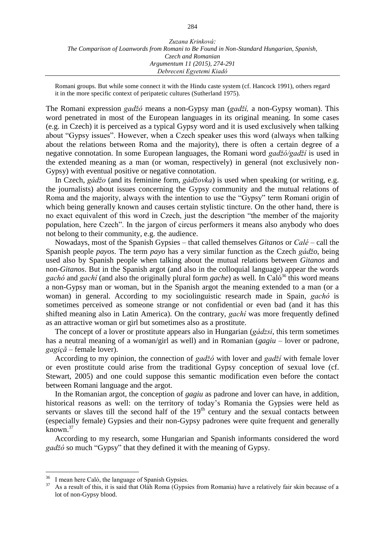Romani groups. But while some connect it with the Hindu caste system (cf. Hancock 1991), others regard it in the more specific context of peripatetic cultures (Sutherland 1975).

The Romani expression *gadžó* means a non-Gypsy man (*gadží,* a non-Gypsy woman). This word penetrated in most of the European languages in its original meaning. In some cases (e.g. in Czech) it is perceived as a typical Gypsy word and it is used exclusively when talking about "Gypsy issues". However, when a Czech speaker uses this word (always when talking about the relations between Roma and the majority), there is often a certain degree of a negative connotation. In some European languages, the Romani word *gadžó/gadží* is used in the extended meaning as a man (or woman, respectively) in general (not exclusively non-Gypsy) with eventual positive or negative connotation.

In Czech, *gádžo* (and its feminine form, *gádžovka*) is used when speaking (or writing, e.g. the journalists) about issues concerning the Gypsy community and the mutual relations of Roma and the majority, always with the intention to use the "Gypsy" term Romani origin of which being generally known and causes certain stylistic tincture. On the other hand, there is no exact equivalent of this word in Czech, just the description "the member of the majority population, here Czech". In the jargon of circus performers it means also anybody who does not belong to their community, e.g. the audience.

Nowadays, most of the Spanish Gypsies – that called themselves *Gitanos* or *Calé* – call the Spanish people *payos*. The term *payo* has a very similar function as the Czech *gádžo*, being used also by Spanish people when talking about the mutual relations between *Gitanos* and non-*Gitanos*. But in the Spanish argot (and also in the colloquial language) appear the words *gachó* and *gachí* (and also the originally plural form *gache*) as well. In Caló<sup>36</sup> this word means a non-Gypsy man or woman, but in the Spanish argot the meaning extended to a man (or a woman) in general. According to my sociolinguistic research made in Spain, *gachó* is sometimes perceived as someone strange or not confidential or even bad (and it has this shifted meaning also in Latin America). On the contrary, *gachí* was more frequently defined as an attractive woman or girl but sometimes also as a prostitute.

The concept of a lover or prostitute appears also in Hungarian (*gádzsi*, this term sometimes has a neutral meaning of a woman/girl as well) and in Romanian (*gagiu* – lover or padrone, *gagiçă* – female lover).

According to my opinion, the connection of *gadžó* with lover and *gadží* with female lover or even prostitute could arise from the traditional Gypsy conception of sexual love (cf. Stewart, 2005) and one could suppose this semantic modification even before the contact between Romani language and the argot.

In the Romanian argot, the conception of *gagiu* as padrone and lover can have, in addition, historical reasons as well: on the territory of today's Romania the Gypsies were held as servants or slaves till the second half of the  $19<sup>th</sup>$  century and the sexual contacts between (especially female) Gypsies and their non-Gypsy padrones were quite frequent and generally known.<sup>37</sup>

According to my research, some Hungarian and Spanish informants considered the word *gadžó* so much "Gypsy" that they defined it with the meaning of Gypsy.

<sup>36</sup> <sup>36</sup> I mean here Caló, the language of Spanish Gypsies.<br><sup>37</sup> As a result of this, it is said that Olah Boma (Gypsi

As a result of this, it is said that Oláh Roma (Gypsies from Romania) have a relatively fair skin because of a lot of non-Gypsy blood.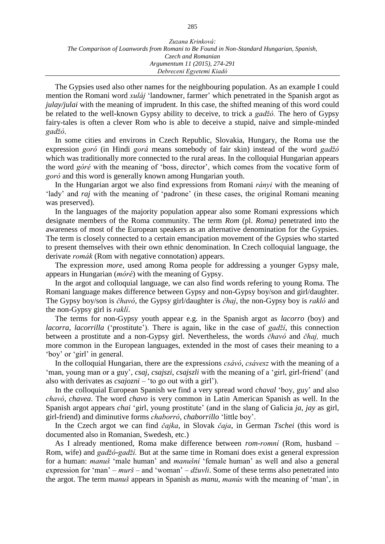| Zuzana Krinková:                                                                        |
|-----------------------------------------------------------------------------------------|
| The Comparison of Loanwords from Romani to Be Found in Non-Standard Hungarian, Spanish, |
| Czech and Romanian                                                                      |
| Argumentum 11 (2015), 274-291                                                           |
| Debreceni Egyetemi Kiadó                                                                |

The Gypsies used also other names for the neighbouring population. As an example I could mention the Romani word *xuláj* 'landowner, farmer' which penetrated in the Spanish argot as *julay/julai* with the meaning of imprudent. In this case, the shifted meaning of this word could be related to the well-known Gypsy ability to deceive, to trick a *gadžó.* The hero of Gypsy fairy-tales is often a clever Rom who is able to deceive a stupid, naive and simple-minded *gadžó*.

In some cities and environs in Czech Republic, Slovakia, Hungary, the Roma use the expression *goró* (in Hindi *gorá* means somebody of fair skin) instead of the word *gadžó* which was traditionally more connected to the rural areas. In the colloquial Hungarian appears the word *góré* with the meaning of 'boss, director', which comes from the vocative form of *goró* and this word is generally known among Hungarian youth.

In the Hungarian argot we also find expressions from Romani *rányi* with the meaning of 'lady' and *raj* with the meaning of 'padrone' (in these cases, the original Romani meaning was preserved).

In the languages of the majority population appear also some Romani expressions which designate members of the Roma community. The term *Rom* (pl. *Roma)* penetrated into the awareness of most of the European speakers as an alternative denomination for the Gypsies. The term is closely connected to a certain emancipation movement of the Gypsies who started to present themselves with their own ethnic denomination. In Czech colloquial language, the derivate *romák* (Rom with negative connotation) appears.

The expression *more*, used among Roma people for addressing a younger Gypsy male, appears in Hungarian (*móré*) with the meaning of Gypsy.

In the argot and colloquial language, we can also find words refering to young Roma. The Romani language makes difference between Gypsy and non-Gypsy boy/son and girl/daughter. The Gypsy boy/son is *čhavó*, the Gypsy girl/daughter is *čhaj*, the non-Gypsy boy is *rakló* and the non-Gypsy girl is *raklí*.

The terms for non-Gypsy youth appear e.g. in the Spanish argot as *lacorro* (boy) and *lacorra*, *lacorrilla* ('prostitute'). There is again, like in the case of *gadží*, this connection between a prostitute and a non-Gypsy girl. Nevertheless, the words *čhavó* and *čhaj,* much more common in the European languages, extended in the most of cases their meaning to a 'boy' or 'girl' in general.

In the colloquial Hungarian, there are the expressions *csávó*, *csávesz* with the meaning of a 'man, young man or a guy', *csaj*, *csajszi*, *csajszli* with the meaning of a 'girl, girl-friend' (and also with derivates as *csajozni* – 'to go out with a girl').

In the colloquial European Spanish we find a very spread word *chaval* 'boy, guy' and also *chavó*, *chavea*. The word *chavo* is very common in Latin American Spanish as well. In the Spanish argot appears *chai* 'girl, young prostitute' (and in the slang of Galicia *ja*, *jay* as girl, girl-friend) and diminutive forms *chaborró*, *chaborrillo* 'little boy'.

In the Czech argot we can find *čajka*, in Slovak *čaja*, in German *Tschei* (this word is documented also in Romanian, Swedesh, etc.)

As I already mentioned, Roma make difference between *rom-romní* (Rom, husband – Rom, wife) and *gadžó-gadží.* But at the same time in Romani does exist a general expression for a human: *manuš* 'male human' and *manušní* 'female human' as well and also a general expression for 'man' –  $mur\zeta$  – and 'woman' –  $d\zeta uvli$ . Some of these terms also penetrated into the argot. The term m*anuš* appears in Spanish as *manu*, *manús* with the meaning of 'man', in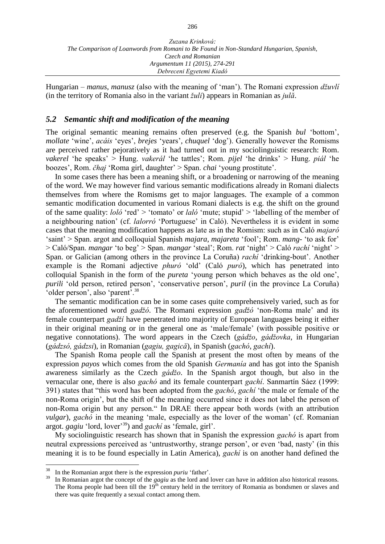Hungarian – *manus*, *manusz* (also with the meaning of 'man'). The Romani expression *džuvlí* (in the territory of Romania also in the variant *žuli*) appears in Romanian as *julă*.

## *5.2 Semantic shift and modification of the meaning*

The original semantic meaning remains often preserved (e.g. the Spanish *bul* 'bottom', *mollate* 'wine', *acáis* 'eyes', *brejes* 'years'*, chuquel* 'dog'). Generally however the Romisms are perceived rather pejoratively as it had turned out in my sociolinguistic research: Rom. *vakerel* 'he speaks' > Hung. *vakerál* 'he tattles'; Rom. *pijel* 'he drinks' > Hung. *piál* 'he boozes', Rom. *čhaj* 'Roma girl, daughter' > Span. *chai* 'young prostitute'.

In some cases there has been a meaning shift, or a broadening or narrowing of the meaning of the word. We may however find various semantic modifications already in Romani dialects themselves from where the Romisms get to major languages. The example of a common semantic modification documented in various Romani dialects is e.g. the shift on the ground of the same quality: *loló* 'red' > 'tomato' or *laló* 'mute; stupid' > 'labelling of the member of a neighbouring nation' (cf. *lalorró* 'Portuguese' in Caló). Nevertheless it is evident in some cases that the meaning modification happens as late as in the Romism: such as in Caló *majaró* 'saint' > Span. argot and colloquial Spanish *majara*, *majareta* 'fool'; Rom. *mang*- 'to ask for' > Caló/Span. *mangar* 'to beg' > Span. *mangar* 'steal'; Rom. *rat* 'night' > Caló *rachí* 'night' > Span. or Galician (among others in the province La Coruña) *rachí* 'drinking-bout'. Another example is the Romani adjective *phuró* 'old' (Caló *puró*), which has penetrated into colloquial Spanish in the form of the *pureta* 'young person which behaves as the old one', *purili* 'old person, retired person', 'conservative person', *puril* (in the province La Coruña) 'older person', also 'parent'.<sup>38</sup>

The semantic modification can be in some cases quite comprehensively varied, such as for the aforementioned word *gadžó*. The Romani expression *gadžó* 'non-Roma male' and its female counterpart *gadží* have penetrated into majority of European languages being it either in their original meaning or in the general one as 'male/female' (with possible positive or negative connotations). The word appears in the Czech (*gádžo*, *gádžovka*, in Hungarian (*gádzsó, gádzsi*), in Romanian (*gagiu, gagică*), in Spanish (*gachó*, *gachí*).

The Spanish Roma people call the Spanish at present the most often by means of the expression *payos* which comes from the old Spanish *Germanía* and has got into the Spanish awareness similarly as the Czech *gádžo*. In the Spanish argot though, but also in the vernacular one, there is also *gachó* and its female counterpart *gachí*. Sanmartín Sáez (1999: 391) states that "this word has been adopted from the *gachó*, *gachí* 'the male or female of the non-Roma origin', but the shift of the meaning occurred since it does not label the person of non-Roma origin but any person." In DRAE there appear both words (with an attribution *vulgar*), *gachó* in the meaning 'male, especially as the lover of the woman' (cf. Romanian argot. *gagiu* 'lord, lover'<sup>39</sup>) and *gachí* as 'female, girl'.

My sociolinguistic research has shown that in Spanish the expression *gachó* is apart from neutral expressions perceived as 'untrustworthy, strange person', or even 'bad, nasty' (in this meaning it is to be found especially in Latin America), *gachí* is on another hand defined the

<sup>38</sup>  $\frac{38}{39}$  In the Romanian argot there is the expression *puriu* 'father'.

In Romanian argot the concept of the *gagiu* as the lord and lover can have in addition also historical reasons. The Roma people had been till the  $19<sup>th</sup>$  century held in the territory of Romania as bondsmen or slaves and there was quite frequently a sexual contact among them.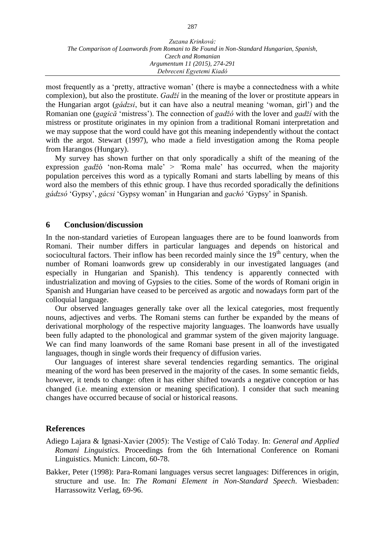most frequently as a 'pretty, attractive woman' (there is maybe a connectedness with a white complexion), but also the prostitute. *Gadží* in the meaning of the lover or prostitute appears in the Hungarian argot (*gádzsi*, but it can have also a neutral meaning 'woman, girl') and the Romanian one (*gagică* 'mistress'). The connection of *gadžó* with the lover and *gadží* with the mistress or prostitute originates in my opinion from a traditional Romani interpretation and we may suppose that the word could have got this meaning independently without the contact with the argot. Stewart (1997), who made a field investigation among the Roma people from Harangos (Hungary).

My survey has shown further on that only sporadically a shift of the meaning of the expression *gadž*ó 'non-Roma male' > *'*Roma male' has occurred, when the majority population perceives this word as a typically Romani and starts labelling by means of this word also the members of this ethnic group. I have thus recorded sporadically the definitions *gádzsó* 'Gypsy', *gácsi* 'Gypsy woman' in Hungarian and *gachó* 'Gypsy' in Spanish.

## **6 Conclusion/discussion**

In the non-standard varieties of European languages there are to be found loanwords from Romani. Their number differs in particular languages and depends on historical and sociocultural factors. Their inflow has been recorded mainly since the  $19<sup>th</sup>$  century, when the number of Romani loanwords grew up considerably in our investigated languages (and especially in Hungarian and Spanish). This tendency is apparently connected with industrialization and moving of Gypsies to the cities. Some of the words of Romani origin in Spanish and Hungarian have ceased to be perceived as argotic and nowadays form part of the colloquial language.

Our observed languages generally take over all the lexical categories, most frequently nouns, adjectives and verbs. The Romani stems can further be expanded by the means of derivational morphology of the respective majority languages. The loanwords have usually been fully adapted to the phonological and grammar system of the given majority language. We can find many loanwords of the same Romani base present in all of the investigated languages, though in single words their frequency of diffusion varies.

Our languages of interest share several tendencies regarding semantics. The original meaning of the word has been preserved in the majority of the cases. In some semantic fields, however, it tends to change: often it has either shifted towards a negative conception or has changed (i.e. meaning extension or meaning specification). I consider that such meaning changes have occurred because of social or historical reasons.

## **References**

- Adiego Lajara & Ignasi-Xavier (2005): The Vestige of Caló Today. In: *General and Applied Romani Linguistics.* Proceedings from the 6th International Conference on Romani Linguistics. Munich: Lincom, 60-78.
- Bakker, Peter (1998): Para-Romani languages versus secret languages: Differences in origin, structure and use. In: *The Romani Element in Non-Standard Speech*. Wiesbaden: Harrassowitz Verlag, 69-96.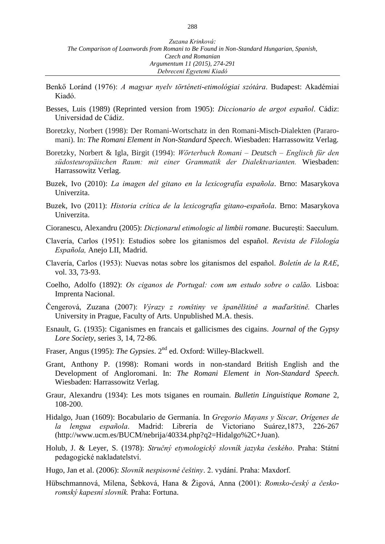- Benkő Loránd (1976): *A magyar nyelv történeti-etimológiai szótára*. Budapest: Akadémiai Kiadó.
- Besses, Luis (1989) (Reprinted version from 1905): *Diccionario de argot español*. Cádiz: Universidad de Cádiz.
- Boretzky, Norbert (1998): Der Romani-Wortschatz in den Romani-Misch-Dialekten (Pararomani). In: *The Romani Element in Non-Standard Speech*. Wiesbaden: Harrassowitz Verlag.
- Boretzky, Norbert & Igla, Birgit (1994): *Wörterbuch Romani – Deutsch – Englisch für den südosteuropäischen Raum: mit einer Grammatik der Dialektvarianten.* Wiesbaden: Harrassowitz Verlag.
- Buzek, Ivo (2010): *La imagen del gitano en la lexicografía española*. Brno: Masarykova Univerzita.
- Buzek, Ivo (2011): *Historia crítica de la lexicografía gitano-española*. Brno: Masarykova Univerzita.
- Cioranescu, Alexandru (2005): *Dicționarul etimologic al limbii romane*. București: Saeculum.
- Clavería, Carlos (1951): Estudios sobre los gitanismos del español. *Revista de Filología Española,* Anejo LII, Madrid.
- Clavería, Carlos (1953): Nuevas notas sobre los gitanismos del español. *Boletín de la RAE*, vol. 33, 73-93.
- Coelho, Adolfo (1892): *Os ciganos de Portugal: com um estudo sobre o calão.* Lisboa: Imprenta Nacional.
- Čengerová, Zuzana (2007): *Výrazy z romštiny ve španělštině a maďarštině.* Charles University in Prague, Faculty of Arts. Unpublished M.A. thesis.
- Esnault, G. (1935): Ciganismes en francais et gallicismes des cigains. *Journal of the Gypsy Lore Society*, series 3, 14, 72-86.
- Fraser, Angus (1995): *The Gypsies*. 2nd ed. Oxford: Willey-Blackwell.
- Grant, Anthony P. (1998): Romani words in non-standard British English and the Development of Angloromani. In: *The Romani Element in Non-Standard Speech*. Wiesbaden: Harrassowitz Verlag.
- Graur, Alexandru (1934): Les mots tsiganes en roumain. *Bulletin Linguistique Romane* 2, 108-200.
- Hidalgo, Juan (1609): Bocabulario de Germanía. In *Gregorio Mayans y Siscar, Orígenes de la lengua española*. Madrid: Librería de Victoriano Suárez,1873, 226-267 (http://www.ucm.es/BUCM/nebrija/40334.php?q2=Hidalgo%2C+Juan).
- Holub, J. & Leyer, S. (1978): *Stručný etymologický slovník jazyka českého*. Praha: Státní pedagogické nakladatelství.
- Hugo, Jan et al. (2006): *Slovník nespisovné češtiny*. 2. vydání. Praha: Maxdorf.
- Hübschmannová, Milena, Šebková, Hana & Žigová, Anna (2001): *Romsko-český a českoromský kapesní slovník.* Praha: Fortuna.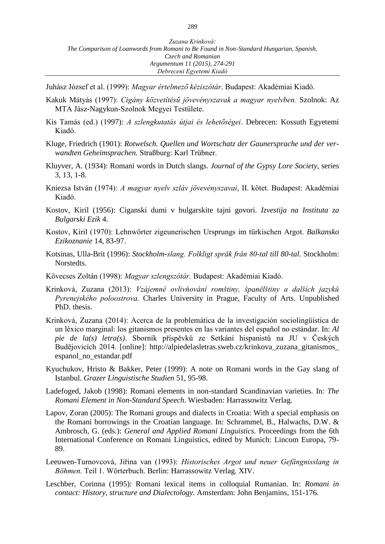Juhász József et al. (1999): *Magyar értelmező kéziszótár*. Budapest: Akadémiai Kiadó.

- Kakuk Mátyás (1997): *Cigány közvetítésű jövevényszavak a magyar nyelvben.* Szolnok: Az MTA Jász-Nagykun-Szolnok Megyei Testülete.
- Kis Tamás (ed.) (1997): *A szlengkutatás útjai és lehetőségei*. Debrecen: Kossuth Egyetemi Kiadó.
- Kluge, Friedrich (1901): *Rotwelsch. Quellen und Wortschatz der Gaunersprache und der verwandten Geheimsprachen.* Straßburg: Karl Trübner.
- Kluyver, A. (1934): Romani words in Dutch slangs. *Journal of the Gypsy Lore Society*, series 3, 13, 1-8.
- Kniezsa István (1974): *A magyar nyelv szláv jövevényszavai*, II. kötet. Budapest: Akadémiai Kiadó.
- Kostov, Kiril (1956): Ciganski dumi v bulgarskite tajni govori. *Izvestija na Instituta za Bulgarski Ezik* 4.
- Kostov, Kiril (1970): Lehnwörter zigeunerischen Ursprungs im türkischen Argot. *Balkansko Ezikoznanie* 14, 83-97.
- Kotsinas, Ulla-Brit (1996): *Stockholm-slang. Folkligt språk från 80-tal till 80-tal*. Stockholm: Norstedts.
- Kövecses Zoltán (1998): *Magyar szlengszótár.* Budapest: Akadémiai Kiadó.
- Krinková, Zuzana (2013): *Vzájemné ovlivňování romštiny, španělštiny a dalších jazyků Pyrenejského poloostrova.* Charles University in Prague, Faculty of Arts. Unpublished PhD. thesis.
- Krinková, Zuzana (2014): Acerca de la problemática de la investigación sociolingüística de un léxico marginal: los gitanismos presentes en las variantes del español no estándar. In: *Al pie de la(s) letra(s)*. Sborník příspěvků ze Setkání hispanistů na JU v Českých Budějovicích 2014. [online]: http://alpiedelasletras.sweb.cz/krinkova\_zuzana\_gitanismos\_ espanol\_no\_estandar.pdf
- Kyuchukov, Hristo & Bakker, Peter (1999): A note on Romani words in the Gay slang of Istanbul. *Grazer Linguistische Studien* 51, 95-98.
- Ladefoged, Jakob (1998): Romani elements in non-standard Scandinavian varieties. In: *The Romani Element in Non-Standard Speech*. Wiesbaden: Harrassowitz Verlag.
- Lapov, Zoran (2005): The Romani groups and dialects in Croatia: With a special emphasis on the Romani borrowings in the Croatian language. In: Schrammel, B., Halwachs, D.W. & Ambrosch, G. (eds.): *General and Applied Romani Linguistics.* Proceedings from the 6th International Conference on Romani Linguistics, edited by Munich: Lincom Europa, 79- 89.
- Leeuwen-Turnovcová, Jiřina van (1993): *Historisches Argot und neuer Gefängnisslang in Böhmen.* Teil 1. Wörterbuch. Berlin: Harrassowitz Verlag. XIV.
- Leschber, Corinna (1995): Romani lexical items in colloquial Rumanian. In: *Romani in contact: History, structure and Dialectology*. Amsterdam: John Benjamins, 151-176.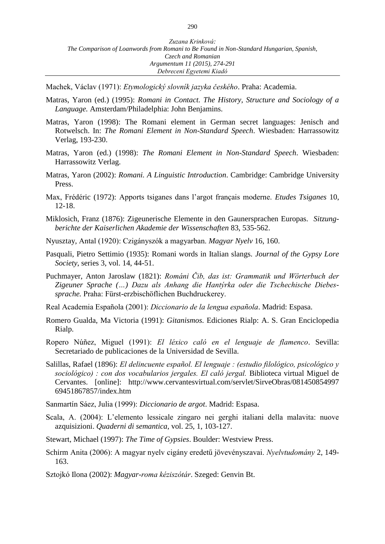Machek, Václav (1971): *Etymologický slovník jazyka českého*. Praha: Academia.

- Matras, Yaron (ed.) (1995): *Romani in Contact. The History, Structure and Sociology of a Language.* Amsterdam/Philadelphia: John Benjamins.
- Matras, Yaron (1998): The Romani element in German secret languages: Jenisch and Rotwelsch. In: *The Romani Element in Non-Standard Speech*. Wiesbaden: Harrassowitz Verlag, 193-230.
- Matras, Yaron (ed.) (1998): *The Romani Element in Non-Standard Speech*. Wiesbaden: Harrassowitz Verlag.
- Matras, Yaron (2002): *Romani. A Linguistic Introduction*. Cambridge: Cambridge University Press.
- Max, Frédéric (1972): Apports tsiganes dans l'argot français moderne. *Etudes Tsiganes* 10, 12-18.
- Miklosich, Franz (1876): Zigeunerische Elemente in den Gaunersprachen Europas. *Sitzungberichte der Kaiserlichen Akademie der Wissenschaften* 83, 535-562.
- Nyusztay, Antal (1920): Czigányszók a magyarban. *Magyar Nyelv* 16, 160.
- Pasquali, Pietro Settimio (1935): Romani words in Italian slangs. *Journal of the Gypsy Lore Society*, series 3, vol. 14, 44-51.
- Puchmayer, Anton Jaroslaw (1821): *Románi Čib, das ist: Grammatik und Wörterbuch der Zigeuner Sprache (…) Dazu als Anhang die Hantýrka oder die Tschechische Diebessprache.* Praha: Fürst-erzbischöflichen Buchdruckerey.
- Real Academia Española (2001): *Diccionario de la lengua española*. Madrid: Espasa.
- Romero Gualda, Ma Victoria (1991): *Gitanismos*. Ediciones Rialp: A. S. Gran Enciclopedia Rialp.
- Ropero Núñez, Miguel (1991): *El léxico caló en el lenguaje de flamenco*. Sevilla: Secretariado de publicaciones de la Universidad de Sevilla.
- Salillas, Rafael (1896): *El delincuente español. El lenguaje : (estudio filológico, psicológico y sociológico) : con dos vocabularios jergales. El caló jergal.* Biblioteca virtual Miguel de Cervantes. [online]: http://www.cervantesvirtual.com/servlet/SirveObras/081450854997 69451867857/index.htm
- Sanmartín Sáez, Julia (1999): *Diccionario de argot*. Madrid: Espasa.
- Scala, A. (2004): L'elemento lessicale zingaro nei gerghi italiani della malavita: nuove azquisizioni. *Quaderni di semantica*, vol. 25, 1, 103-127.
- Stewart, Michael (1997): *The Time of Gypsies*. Boulder: Westview Press.
- Schirm Anita (2006): A magyar nyelv cigány eredetű jövevényszavai. *Nyelvtudomány* 2, 149- 163.
- Sztojkó Ilona (2002): *Magyar-roma kéziszótár*. Szeged: Genvin Bt.